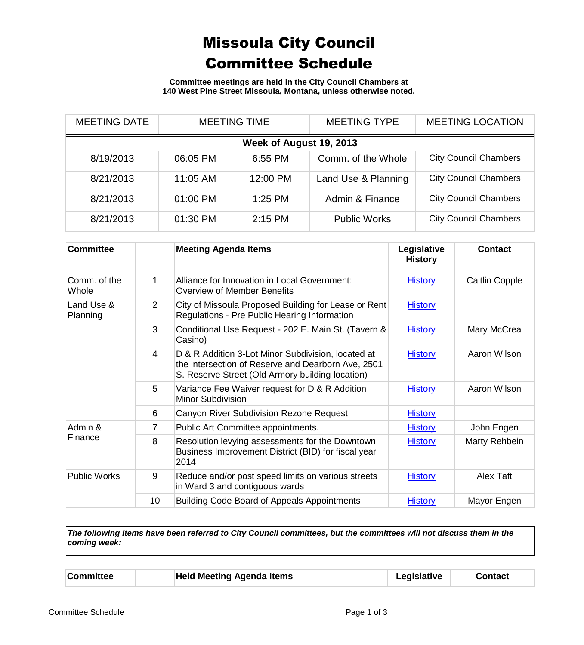## Missoula City Council Committee Schedule

**Committee meetings are held in the City Council Chambers at 140 West Pine Street Missoula, Montana, unless otherwise noted.**

| <b>MEETING DATE</b>     | <b>MEETING TIME</b> |           | <b>MEETING TYPE</b> | <b>MEETING LOCATION</b>      |  |
|-------------------------|---------------------|-----------|---------------------|------------------------------|--|
| Week of August 19, 2013 |                     |           |                     |                              |  |
| 8/19/2013               | 06:05 PM            | 6:55 PM   | Comm. of the Whole  | <b>City Council Chambers</b> |  |
| 8/21/2013               | 11:05 AM            | 12:00 PM  | Land Use & Planning | <b>City Council Chambers</b> |  |
| 8/21/2013               | 01:00 PM            | $1:25$ PM | Admin & Finance     | <b>City Council Chambers</b> |  |
| 8/21/2013               | 01:30 PM            | $2:15$ PM | <b>Public Works</b> | <b>City Council Chambers</b> |  |

| <b>Committee</b>       |                | <b>Meeting Agenda Items</b>                                                                                                                                  | Legislative<br><b>History</b> | <b>Contact</b> |
|------------------------|----------------|--------------------------------------------------------------------------------------------------------------------------------------------------------------|-------------------------------|----------------|
| Comm. of the<br>Whole  | 1              | Alliance for Innovation in Local Government:<br>Overview of Member Benefits                                                                                  | <b>History</b>                | Caitlin Copple |
| Land Use &<br>Planning | $\overline{2}$ | City of Missoula Proposed Building for Lease or Rent<br>Regulations - Pre Public Hearing Information                                                         | <b>History</b>                |                |
|                        | 3              | Conditional Use Request - 202 E. Main St. (Tavern &<br>Casino)                                                                                               | <b>History</b>                | Mary McCrea    |
|                        | 4              | D & R Addition 3-Lot Minor Subdivision, located at<br>the intersection of Reserve and Dearborn Ave, 2501<br>S. Reserve Street (Old Armory building location) | <b>History</b>                | Aaron Wilson   |
|                        | 5              | Variance Fee Waiver request for D & R Addition<br>Minor Subdivision                                                                                          | <b>History</b>                | Aaron Wilson   |
|                        | 6              | Canyon River Subdivision Rezone Request                                                                                                                      | <b>History</b>                |                |
| Admin &<br>Finance     | 7              | Public Art Committee appointments.                                                                                                                           | <b>History</b>                | John Engen     |
|                        | 8              | Resolution levying assessments for the Downtown<br>Business Improvement District (BID) for fiscal year<br>2014                                               | <b>History</b>                | Marty Rehbein  |
| <b>Public Works</b>    | 9              | Reduce and/or post speed limits on various streets<br>in Ward 3 and contiguous wards                                                                         | <b>History</b>                | Alex Taft      |
|                        | 10             | <b>Building Code Board of Appeals Appointments</b>                                                                                                           | <b>History</b>                | Mayor Engen    |

*The following items have been referred to City Council committees, but the committees will not discuss them in the coming week:*

| <b>Committee</b> | <b>Held Meeting Agenda Items</b> | Legislative | Contact |
|------------------|----------------------------------|-------------|---------|
|------------------|----------------------------------|-------------|---------|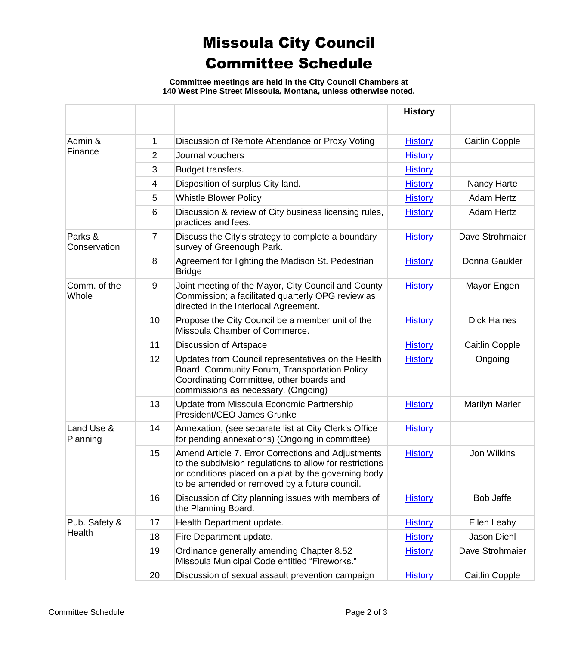## Missoula City Council Committee Schedule

**Committee meetings are held in the City Council Chambers at 140 West Pine Street Missoula, Montana, unless otherwise noted.**

|                         |    |                                                                                                                                                                                                                         | <b>History</b> |                       |
|-------------------------|----|-------------------------------------------------------------------------------------------------------------------------------------------------------------------------------------------------------------------------|----------------|-----------------------|
| Admin &<br>Finance      | 1  | Discussion of Remote Attendance or Proxy Voting                                                                                                                                                                         | <b>History</b> | <b>Caitlin Copple</b> |
|                         | 2  | Journal vouchers                                                                                                                                                                                                        | <b>History</b> |                       |
|                         | 3  | Budget transfers.                                                                                                                                                                                                       | <b>History</b> |                       |
|                         | 4  | Disposition of surplus City land.                                                                                                                                                                                       | <b>History</b> | Nancy Harte           |
|                         | 5  | <b>Whistle Blower Policy</b>                                                                                                                                                                                            | <b>History</b> | <b>Adam Hertz</b>     |
|                         | 6  | Discussion & review of City business licensing rules,<br>practices and fees.                                                                                                                                            | <b>History</b> | <b>Adam Hertz</b>     |
| Parks &<br>Conservation | 7  | Discuss the City's strategy to complete a boundary<br>survey of Greenough Park.                                                                                                                                         | <b>History</b> | Dave Strohmaier       |
|                         | 8  | Agreement for lighting the Madison St. Pedestrian<br><b>Bridge</b>                                                                                                                                                      | <b>History</b> | Donna Gaukler         |
| Comm. of the<br>Whole   | 9  | Joint meeting of the Mayor, City Council and County<br>Commission; a facilitated quarterly OPG review as<br>directed in the Interlocal Agreement.                                                                       | <b>History</b> | Mayor Engen           |
|                         | 10 | Propose the City Council be a member unit of the<br>Missoula Chamber of Commerce.                                                                                                                                       | <b>History</b> | <b>Dick Haines</b>    |
|                         | 11 | Discussion of Artspace                                                                                                                                                                                                  | <b>History</b> | <b>Caitlin Copple</b> |
|                         | 12 | Updates from Council representatives on the Health<br>Board, Community Forum, Transportation Policy<br>Coordinating Committee, other boards and<br>commissions as necessary. (Ongoing)                                  | <b>History</b> | Ongoing               |
|                         | 13 | Update from Missoula Economic Partnership<br>President/CEO James Grunke                                                                                                                                                 | <b>History</b> | <b>Marilyn Marler</b> |
| Land Use &<br>Planning  | 14 | Annexation, (see separate list at City Clerk's Office<br>for pending annexations) (Ongoing in committee)                                                                                                                | <b>History</b> |                       |
|                         | 15 | Amend Article 7. Error Corrections and Adjustments<br>to the subdivision regulations to allow for restrictions<br>or conditions placed on a plat by the governing body<br>to be amended or removed by a future council. | <b>History</b> | Jon Wilkins           |
|                         | 16 | Discussion of City planning issues with members of<br>the Planning Board.                                                                                                                                               | <b>History</b> | <b>Bob Jaffe</b>      |
| Pub. Safety &           | 17 | Health Department update.                                                                                                                                                                                               | <b>History</b> | Ellen Leahy           |
| Health                  | 18 | Fire Department update.                                                                                                                                                                                                 | <b>History</b> | Jason Diehl           |
|                         | 19 | Ordinance generally amending Chapter 8.52<br>Missoula Municipal Code entitled "Fireworks."                                                                                                                              | <b>History</b> | Dave Strohmaier       |
|                         | 20 | Discussion of sexual assault prevention campaign                                                                                                                                                                        | <b>History</b> | <b>Caitlin Copple</b> |